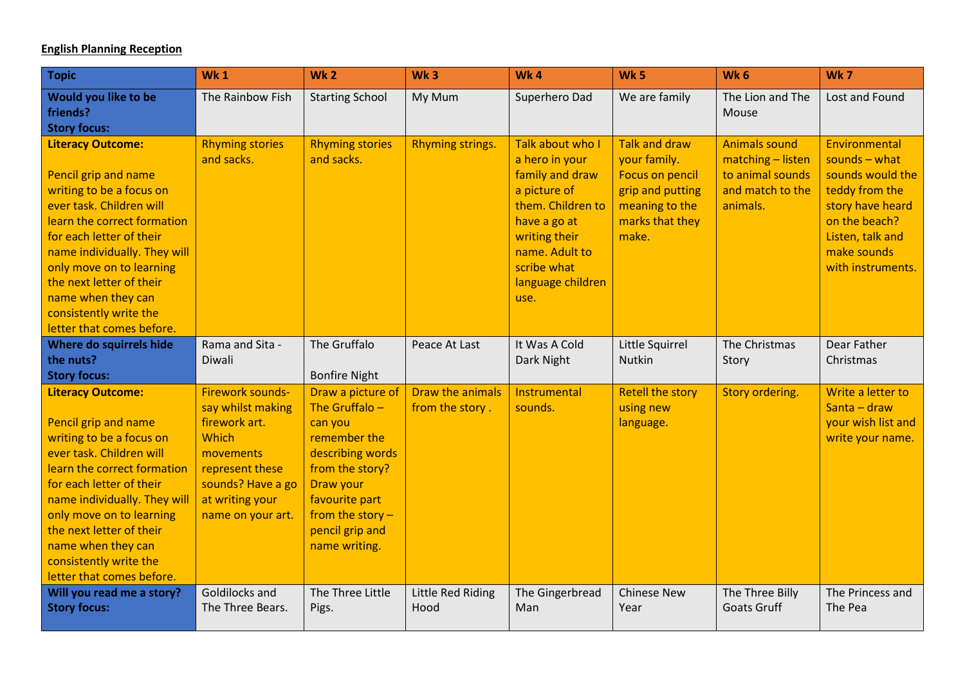## **English Planning Reception**

| <b>Topic</b>                                                                                                                                                                                                                                                                                                                             | Wk <sub>1</sub>                                                                                                                                                     | <b>Wk2</b>                                                                                                                                                                                       | Wk <sub>3</sub>                     | <b>Wk4</b>                                                                                                                                                                                | <b>Wk 5</b>                                                                                                                      | Wk <sub>6</sub>                                                                               | Wk7                                                                                                                                                                       |
|------------------------------------------------------------------------------------------------------------------------------------------------------------------------------------------------------------------------------------------------------------------------------------------------------------------------------------------|---------------------------------------------------------------------------------------------------------------------------------------------------------------------|--------------------------------------------------------------------------------------------------------------------------------------------------------------------------------------------------|-------------------------------------|-------------------------------------------------------------------------------------------------------------------------------------------------------------------------------------------|----------------------------------------------------------------------------------------------------------------------------------|-----------------------------------------------------------------------------------------------|---------------------------------------------------------------------------------------------------------------------------------------------------------------------------|
| Would you like to be<br>friends?<br><b>Story focus:</b>                                                                                                                                                                                                                                                                                  | The Rainbow Fish                                                                                                                                                    | <b>Starting School</b>                                                                                                                                                                           | My Mum                              | Superhero Dad                                                                                                                                                                             | We are family                                                                                                                    | The Lion and The<br>Mouse                                                                     | Lost and Found                                                                                                                                                            |
| <b>Literacy Outcome:</b><br>Pencil grip and name<br>writing to be a focus on<br>ever task. Children will<br>learn the correct formation<br>for each letter of their<br>name individually. They will<br>only move on to learning<br>the next letter of their<br>name when they can<br>consistently write the<br>letter that comes before. | <b>Rhyming stories</b><br>and sacks.                                                                                                                                | <b>Rhyming stories</b><br>and sacks.                                                                                                                                                             | Rhyming strings.                    | Talk about who I<br>a hero in your<br>family and draw<br>a picture of<br>them. Children to<br>have a go at<br>writing their<br>name. Adult to<br>scribe what<br>language children<br>use. | <b>Talk and draw</b><br>your family.<br><b>Focus on pencil</b><br>grip and putting<br>meaning to the<br>marks that they<br>make. | <b>Animals sound</b><br>matching - listen<br>to animal sounds<br>and match to the<br>animals. | Environmental<br>sounds $-\text{what}$<br>sounds would the<br>teddy from the<br>story have heard<br>on the beach?<br>Listen, talk and<br>make sounds<br>with instruments. |
| Where do squirrels hide<br>the nuts?<br><b>Story focus:</b>                                                                                                                                                                                                                                                                              | Rama and Sita -<br>Diwali                                                                                                                                           | The Gruffalo<br><b>Bonfire Night</b>                                                                                                                                                             | Peace At Last                       | It Was A Cold<br>Dark Night                                                                                                                                                               | Little Squirrel<br>Nutkin                                                                                                        | The Christmas<br>Story                                                                        | Dear Father<br>Christmas                                                                                                                                                  |
| <b>Literacy Outcome:</b><br>Pencil grip and name<br>writing to be a focus on<br>ever task. Children will<br>learn the correct formation<br>for each letter of their<br>name individually. They will<br>only move on to learning<br>the next letter of their<br>name when they can<br>consistently write the<br>letter that comes before. | <b>Firework sounds-</b><br>say whilst making<br>firework art.<br>Which<br>movements<br>represent these<br>sounds? Have a go<br>at writing your<br>name on your art. | Draw a picture of<br>The Gruffalo $-$<br>can you<br>remember the<br>describing words<br>from the story?<br>Draw your<br>favourite part<br>from the story $-$<br>pencil grip and<br>name writing. | Draw the animals<br>from the story. | Instrumental<br>sounds.                                                                                                                                                                   | <b>Retell the story</b><br>using new<br>language.                                                                                | Story ordering.                                                                               | Write a letter to<br>Santa - draw<br>your wish list and<br>write your name.                                                                                               |
| Will you read me a story?<br><b>Story focus:</b>                                                                                                                                                                                                                                                                                         | Goldilocks and<br>The Three Bears.                                                                                                                                  | The Three Little<br>Pigs.                                                                                                                                                                        | Little Red Riding<br>Hood           | The Gingerbread<br>Man                                                                                                                                                                    | <b>Chinese New</b><br>Year                                                                                                       | The Three Billy<br><b>Goats Gruff</b>                                                         | The Princess and<br>The Pea                                                                                                                                               |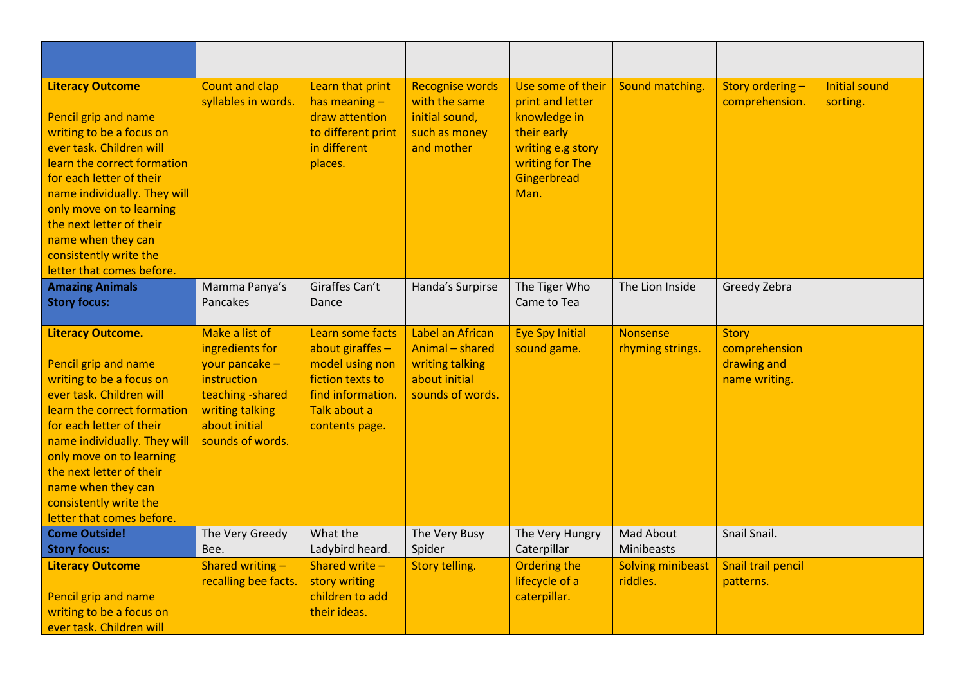| <b>Literacy Outcome</b><br>Pencil grip and name<br>writing to be a focus on<br>ever task. Children will<br>learn the correct formation<br>for each letter of their<br>name individually. They will<br>only move on to learning<br>the next letter of their<br>name when they can<br>consistently write the<br>letter that comes before.  | <b>Count and clap</b><br>syllables in words.                                                                                                    | Learn that print<br>has meaning $-$<br>draw attention<br>to different print<br>in different<br>places.                             | <b>Recognise words</b><br>with the same<br>initial sound,<br>such as money<br>and mother    | Use some of their<br>print and letter<br>knowledge in<br>their early<br>writing e.g story<br>writing for The<br>Gingerbread<br>Man. | Sound matching.                      | Story ordering-<br>comprehension.                             | <b>Initial sound</b><br>sorting. |
|------------------------------------------------------------------------------------------------------------------------------------------------------------------------------------------------------------------------------------------------------------------------------------------------------------------------------------------|-------------------------------------------------------------------------------------------------------------------------------------------------|------------------------------------------------------------------------------------------------------------------------------------|---------------------------------------------------------------------------------------------|-------------------------------------------------------------------------------------------------------------------------------------|--------------------------------------|---------------------------------------------------------------|----------------------------------|
| <b>Amazing Animals</b><br><b>Story focus:</b>                                                                                                                                                                                                                                                                                            | Mamma Panya's<br>Pancakes                                                                                                                       | Giraffes Can't<br>Dance                                                                                                            | Handa's Surpirse                                                                            | The Tiger Who<br>Came to Tea                                                                                                        | The Lion Inside                      | Greedy Zebra                                                  |                                  |
| <b>Literacy Outcome.</b><br>Pencil grip and name<br>writing to be a focus on<br>ever task. Children will<br>learn the correct formation<br>for each letter of their<br>name individually. They will<br>only move on to learning<br>the next letter of their<br>name when they can<br>consistently write the<br>letter that comes before. | Make a list of<br>ingredients for<br>your pancake -<br>instruction<br>teaching - shared<br>writing talking<br>about initial<br>sounds of words. | Learn some facts<br>about giraffes -<br>model using non<br>fiction texts to<br>find information.<br>Talk about a<br>contents page. | Label an African<br>Animal - shared<br>writing talking<br>about initial<br>sounds of words. | <b>Eye Spy Initial</b><br>sound game.                                                                                               | <b>Nonsense</b><br>rhyming strings.  | <b>Story</b><br>comprehension<br>drawing and<br>name writing. |                                  |
| <b>Come Outside!</b><br><b>Story focus:</b>                                                                                                                                                                                                                                                                                              | The Very Greedy<br>Bee.                                                                                                                         | What the<br>Ladybird heard.                                                                                                        | The Very Busy<br>Spider                                                                     | The Very Hungry<br>Caterpillar                                                                                                      | Mad About<br>Minibeasts              | Snail Snail.                                                  |                                  |
| <b>Literacy Outcome</b><br>Pencil grip and name<br>writing to be a focus on<br>ever task. Children will                                                                                                                                                                                                                                  | Shared writing -<br>recalling bee facts.                                                                                                        | Shared write -<br>story writing<br>children to add<br>their ideas.                                                                 | Story telling.                                                                              | <b>Ordering the</b><br>lifecycle of a<br>caterpillar.                                                                               | <b>Solving minibeast</b><br>riddles. | Snail trail pencil<br>patterns.                               |                                  |